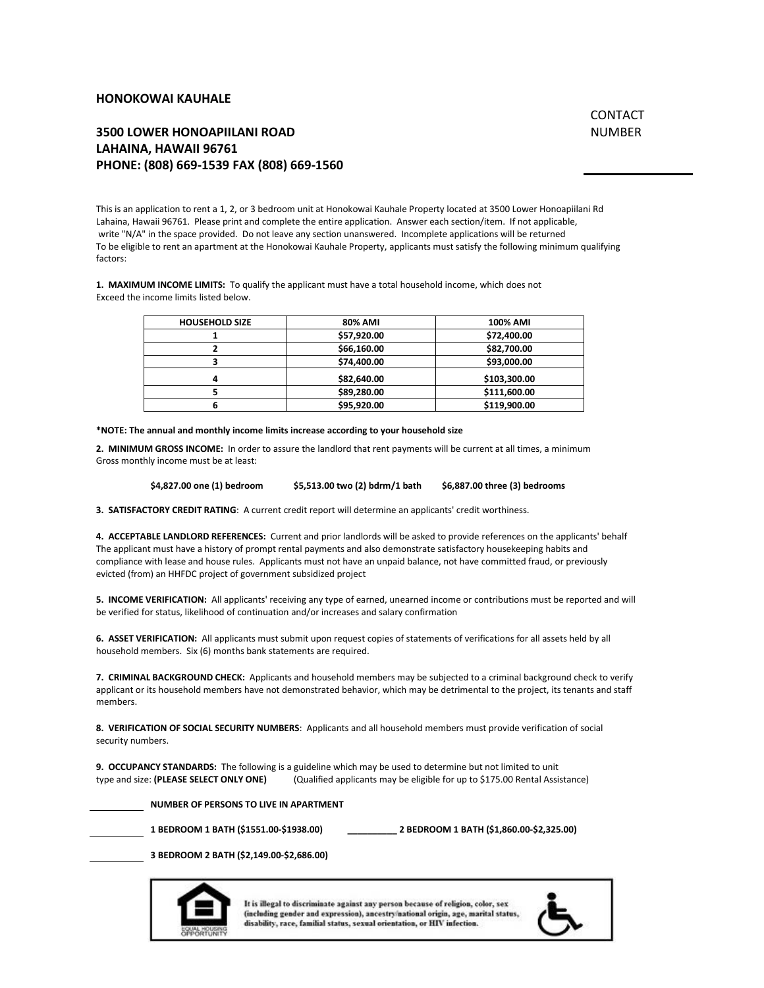### **HONOKOWAI KAUHALE**

# CONTACT NUMBER

# **3500 LOWER HONOAPIILANI ROAD LAHAINA, HAWAII 96761 PHONE: (808) 669-1539 FAX (808) 669-1560**

This is an application to rent a 1, 2, or 3 bedroom unit at Honokowai Kauhale Property located at 3500 Lower Honoapiilani Rd Lahaina, Hawaii 96761. Please print and complete the entire application. Answer each section/item. If not applicable, write "N/A" in the space provided. Do not leave any section unanswered. Incomplete applications will be returned To be eligible to rent an apartment at the Honokowai Kauhale Property, applicants must satisfy the following minimum qualifying factors:

**1. MAXIMUM INCOME LIMITS:** To qualify the applicant must have a total household income, which does not Exceed the income limits listed below.

| <b>HOUSEHOLD SIZE</b> | 80% AMI     | <b>100% AMI</b> |
|-----------------------|-------------|-----------------|
|                       | \$57,920.00 | \$72,400.00     |
|                       | \$66,160.00 | \$82,700.00     |
|                       | \$74,400.00 | \$93,000.00     |
|                       | \$82,640.00 | \$103,300.00    |
|                       | \$89,280.00 | \$111,600.00    |
|                       | \$95,920.00 | \$119,900.00    |

**\*NOTE: The annual and monthly income limits increase according to your household size**

**2. MINIMUM GROSS INCOME:** In order to assure the landlord that rent payments will be current at all times, a minimum Gross monthly income must be at least:

**\$4,827.00 one (1) bedroom \$5,513.00 two (2) bdrm/1 bath \$6,887.00 three (3) bedrooms**

**3. SATISFACTORY CREDIT RATING**: A current credit report will determine an applicants' credit worthiness.

**4. ACCEPTABLE LANDLORD REFERENCES:** Current and prior landlords will be asked to provide references on the applicants' behalf The applicant must have a history of prompt rental payments and also demonstrate satisfactory housekeeping habits and compliance with lease and house rules. Applicants must not have an unpaid balance, not have committed fraud, or previously evicted (from) an HHFDC project of government subsidized project

**5. INCOME VERIFICATION:** All applicants' receiving any type of earned, unearned income or contributions must be reported and will be verified for status, likelihood of continuation and/or increases and salary confirmation

**6. ASSET VERIFICATION:** All applicants must submit upon request copies of statements of verifications for all assets held by all household members. Six (6) months bank statements are required.

**7. CRIMINAL BACKGROUND CHECK:** Applicants and household members may be subjected to a criminal background check to verify applicant or its household members have not demonstrated behavior, which may be detrimental to the project, its tenants and staff members.

**8. VERIFICATION OF SOCIAL SECURITY NUMBERS**: Applicants and all household members must provide verification of social security numbers.

**9. OCCUPANCY STANDARDS:** The following is a guideline which may be used to determine but not limited to unit type and size: **(PLEASE SELECT ONLY ONE)** (Qualified applicants may be eligible for up to \$175.00 Rental Assistance)

**NUMBER OF PERSONS TO LIVE IN APARTMENT**

**1 BEDROOM 1 BATH (\$1551.00-\$1938.00) \_\_\_\_\_\_\_\_\_\_ 2 BEDROOM 1 BATH (\$1,860.00-\$2,325.00)** 

**3 BEDROOM 2 BATH (\$2,149.00-\$2,686.00)**



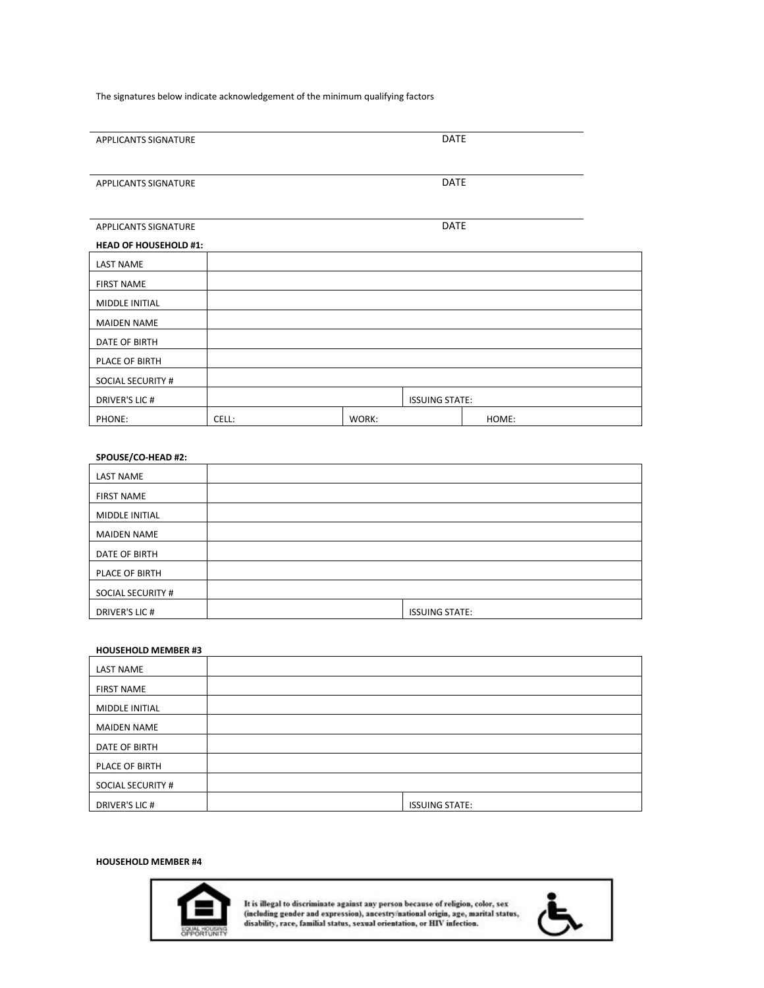The signatures below indicate acknowledgement of the minimum qualifying factors

| APPLICANTS SIGNATURE         |       |       | <b>DATE</b>           |       |  |
|------------------------------|-------|-------|-----------------------|-------|--|
|                              |       |       |                       |       |  |
| APPLICANTS SIGNATURE         |       |       | <b>DATE</b>           |       |  |
|                              |       |       |                       |       |  |
| APPLICANTS SIGNATURE         |       |       | DATE                  |       |  |
| <b>HEAD OF HOUSEHOLD #1:</b> |       |       |                       |       |  |
| <b>LAST NAME</b>             |       |       |                       |       |  |
| <b>FIRST NAME</b>            |       |       |                       |       |  |
| <b>MIDDLE INITIAL</b>        |       |       |                       |       |  |
| <b>MAIDEN NAME</b>           |       |       |                       |       |  |
| DATE OF BIRTH                |       |       |                       |       |  |
| PLACE OF BIRTH               |       |       |                       |       |  |
| <b>SOCIAL SECURITY #</b>     |       |       |                       |       |  |
| <b>DRIVER'S LIC #</b>        |       |       | <b>ISSUING STATE:</b> |       |  |
| PHONE:                       | CELL: | WORK: |                       | HOME: |  |

# **SPOUSE/CO-HEAD #2:**

| <b>LAST NAME</b>   |                       |
|--------------------|-----------------------|
| <b>FIRST NAME</b>  |                       |
| MIDDLE INITIAL     |                       |
| <b>MAIDEN NAME</b> |                       |
| DATE OF BIRTH      |                       |
| PLACE OF BIRTH     |                       |
| SOCIAL SECURITY #  |                       |
| DRIVER'S LIC #     | <b>ISSUING STATE:</b> |

#### **HOUSEHOLD MEMBER #3**

| <b>LAST NAME</b>         |                       |
|--------------------------|-----------------------|
| <b>FIRST NAME</b>        |                       |
| MIDDLE INITIAL           |                       |
| <b>MAIDEN NAME</b>       |                       |
| DATE OF BIRTH            |                       |
| PLACE OF BIRTH           |                       |
| <b>SOCIAL SECURITY #</b> |                       |
| DRIVER'S LIC #           | <b>ISSUING STATE:</b> |

## **HOUSEHOLD MEMBER #4**



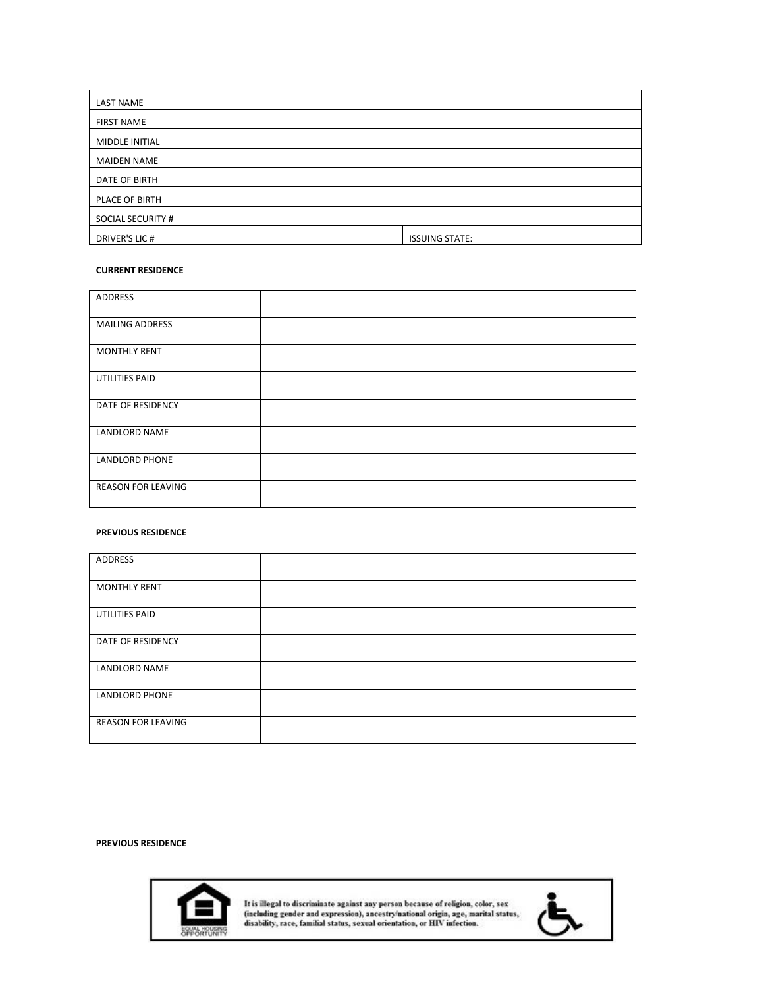| <b>LAST NAME</b>   |                       |
|--------------------|-----------------------|
| <b>FIRST NAME</b>  |                       |
| MIDDLE INITIAL     |                       |
| <b>MAIDEN NAME</b> |                       |
| DATE OF BIRTH      |                       |
| PLACE OF BIRTH     |                       |
| SOCIAL SECURITY #  |                       |
| DRIVER'S LIC #     | <b>ISSUING STATE:</b> |

### **CURRENT RESIDENCE**

| ADDRESS                   |  |
|---------------------------|--|
| <b>MAILING ADDRESS</b>    |  |
| <b>MONTHLY RENT</b>       |  |
| UTILITIES PAID            |  |
| DATE OF RESIDENCY         |  |
| <b>LANDLORD NAME</b>      |  |
| <b>LANDLORD PHONE</b>     |  |
| <b>REASON FOR LEAVING</b> |  |

### **PREVIOUS RESIDENCE**

| ADDRESS                   |  |
|---------------------------|--|
| <b>MONTHLY RENT</b>       |  |
| UTILITIES PAID            |  |
| DATE OF RESIDENCY         |  |
| <b>LANDLORD NAME</b>      |  |
| <b>LANDLORD PHONE</b>     |  |
| <b>REASON FOR LEAVING</b> |  |

# **PREVIOUS RESIDENCE**



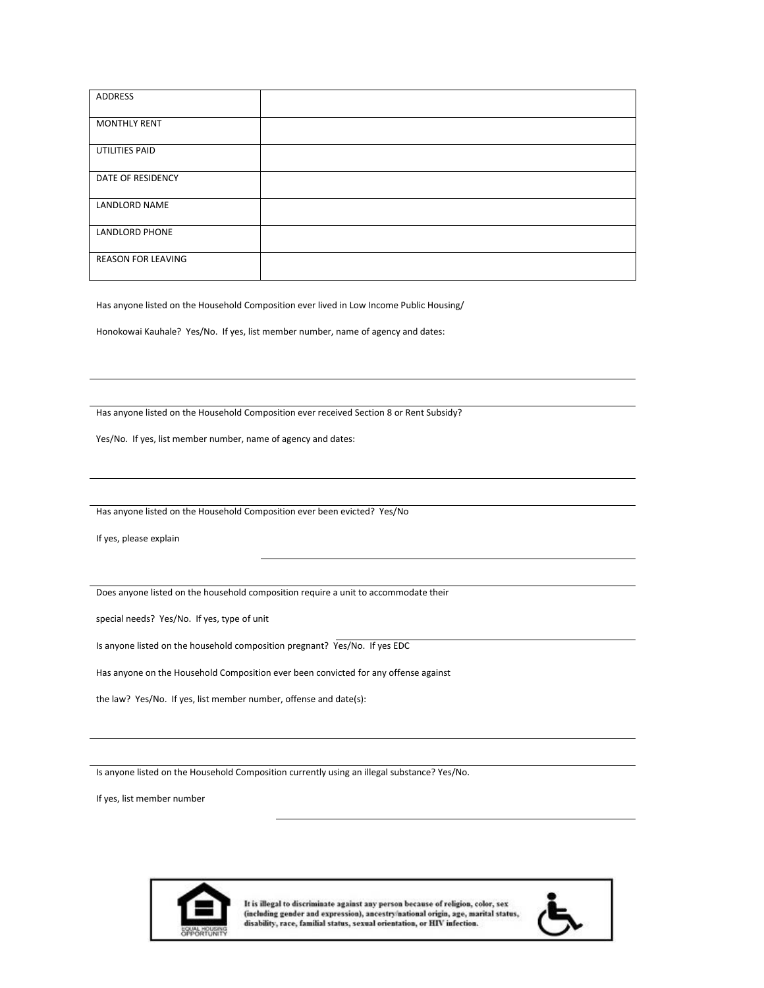| ADDRESS                   |  |
|---------------------------|--|
| <b>MONTHLY RENT</b>       |  |
| UTILITIES PAID            |  |
| DATE OF RESIDENCY         |  |
| LANDLORD NAME             |  |
| <b>LANDLORD PHONE</b>     |  |
| <b>REASON FOR LEAVING</b> |  |

Has anyone listed on the Household Composition ever lived in Low Income Public Housing/

Honokowai Kauhale? Yes/No. If yes, list member number, name of agency and dates:

Has anyone listed on the Household Composition ever received Section 8 or Rent Subsidy?

Yes/No. If yes, list member number, name of agency and dates:

Has anyone listed on the Household Composition ever been evicted? Yes/No

If yes, please explain

Does anyone listed on the household composition require a unit to accommodate their

special needs? Yes/No. If yes, type of unit

Is anyone listed on the household composition pregnant? Yes/No. If yes EDC

Has anyone on the Household Composition ever been convicted for any offense against

the law? Yes/No. If yes, list member number, offense and date(s):

Is anyone listed on the Household Composition currently using an illegal substance? Yes/No.

If yes, list member number



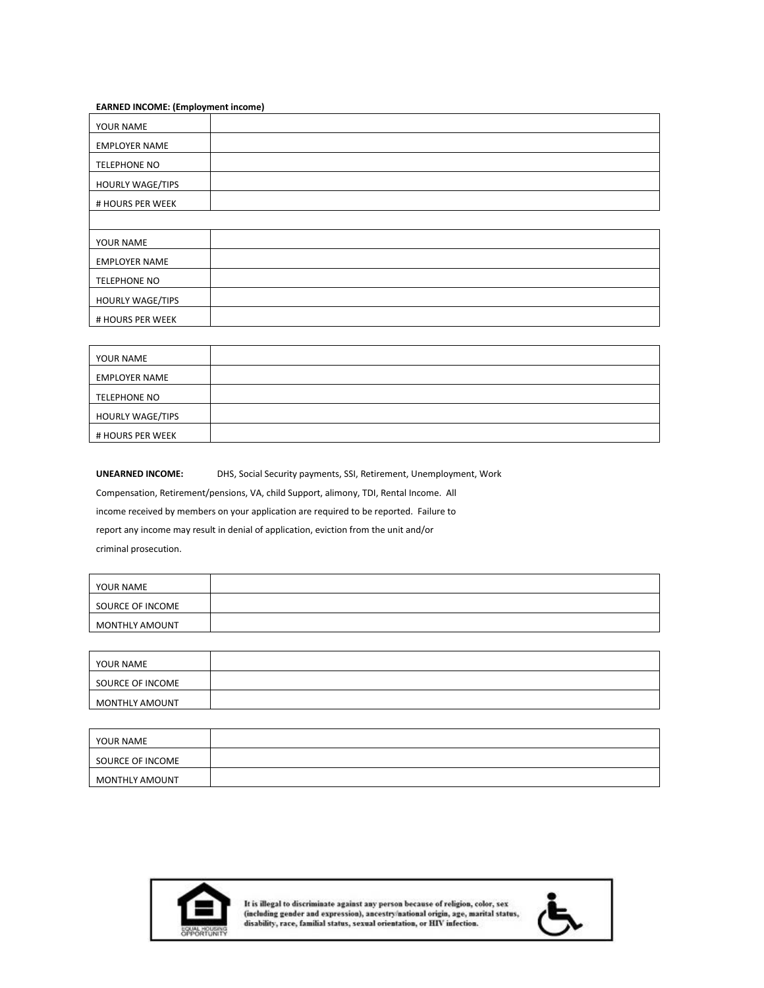#### **EARNED INCOME: (Employment income)**

| YOUR NAME               |  |
|-------------------------|--|
| <b>EMPLOYER NAME</b>    |  |
| <b>TELEPHONE NO</b>     |  |
| <b>HOURLY WAGE/TIPS</b> |  |
| # HOURS PER WEEK        |  |
|                         |  |
| YOUR NAME               |  |
| <b>EMPLOYER NAME</b>    |  |
| <b>TELEPHONE NO</b>     |  |
| <b>HOURLY WAGE/TIPS</b> |  |
| # HOURS PER WEEK        |  |

| YOUR NAME               |  |
|-------------------------|--|
| <b>EMPLOYER NAME</b>    |  |
| TELEPHONE NO            |  |
| <b>HOURLY WAGE/TIPS</b> |  |
| # HOURS PER WEEK        |  |

**UNEARNED INCOME:** DHS, Social Security payments, SSI, Retirement, Unemployment, Work Compensation, Retirement/pensions, VA, child Support, alimony, TDI, Rental Income. All income received by members on your application are required to be reported. Failure to report any income may result in denial of application, eviction from the unit and/or criminal prosecution.

| YOUR NAME        |  |
|------------------|--|
| SOURCE OF INCOME |  |
| MONTHLY AMOUNT   |  |

| YOUR NAME        |  |
|------------------|--|
| SOURCE OF INCOME |  |
| MONTHLY AMOUNT   |  |

| YOUR NAME             |  |
|-----------------------|--|
| SOURCE OF INCOME      |  |
| <b>MONTHLY AMOUNT</b> |  |



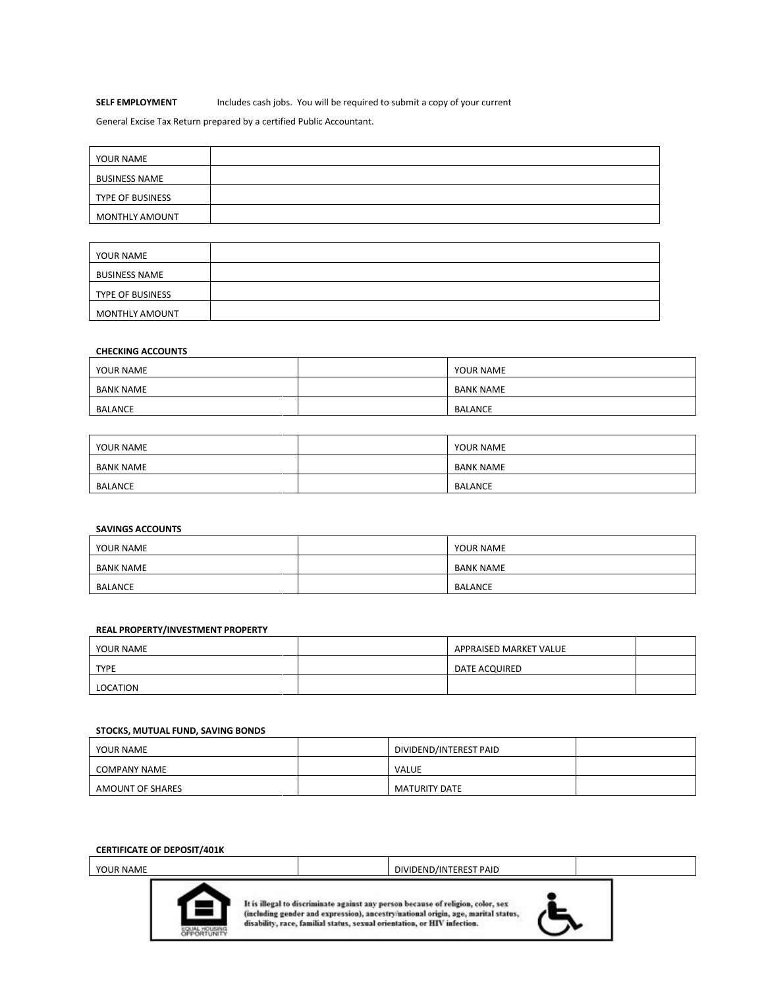# **SELF EMPLOYMENT** Includes cash jobs. You will be required to submit a copy of your current

General Excise Tax Return prepared by a certified Public Accountant.

| YOUR NAME               |  |
|-------------------------|--|
| <b>BUSINESS NAME</b>    |  |
| <b>TYPE OF BUSINESS</b> |  |
| MONTHLY AMOUNT          |  |

| YOUR NAME               |  |
|-------------------------|--|
| <b>BUSINESS NAME</b>    |  |
| <b>TYPE OF BUSINESS</b> |  |
| <b>MONTHLY AMOUNT</b>   |  |

# **CHECKING ACCOUNTS**

| YOUR NAME      | YOUR NAME      |
|----------------|----------------|
| BANK NAME      | BANK NAME      |
| <b>BALANCE</b> | <b>BALANCE</b> |

| YOUR NAME        | YOUR NAME      |
|------------------|----------------|
| <b>BANK NAME</b> | BANK NAME      |
| <b>BALANCE</b>   | <b>BALANCE</b> |

# **SAVINGS ACCOUNTS**

| YOUR NAME        | YOUR NAME        |
|------------------|------------------|
| <b>BANK NAME</b> | <b>BANK NAME</b> |
| <b>BALANCE</b>   | <b>BALANCE</b>   |

#### **REAL PROPERTY/INVESTMENT PROPERTY**

| YOUR NAME   | APPRAISED MARKET VALUE |  |
|-------------|------------------------|--|
| <b>TYPE</b> | DATE ACQUIRED          |  |
| LOCATION    |                        |  |

#### **STOCKS, MUTUAL FUND, SAVING BONDS**

| YOUR NAME           | DIVIDEND/INTEREST PAID |  |
|---------------------|------------------------|--|
| <b>COMPANY NAME</b> | VALUE                  |  |
| AMOUNT OF SHARES    | <b>MATURITY DATE</b>   |  |

#### **CERTIFICATE OF DEPOSIT/401K**

YOUR NAME **DIVIDEND/INTEREST PAID** 



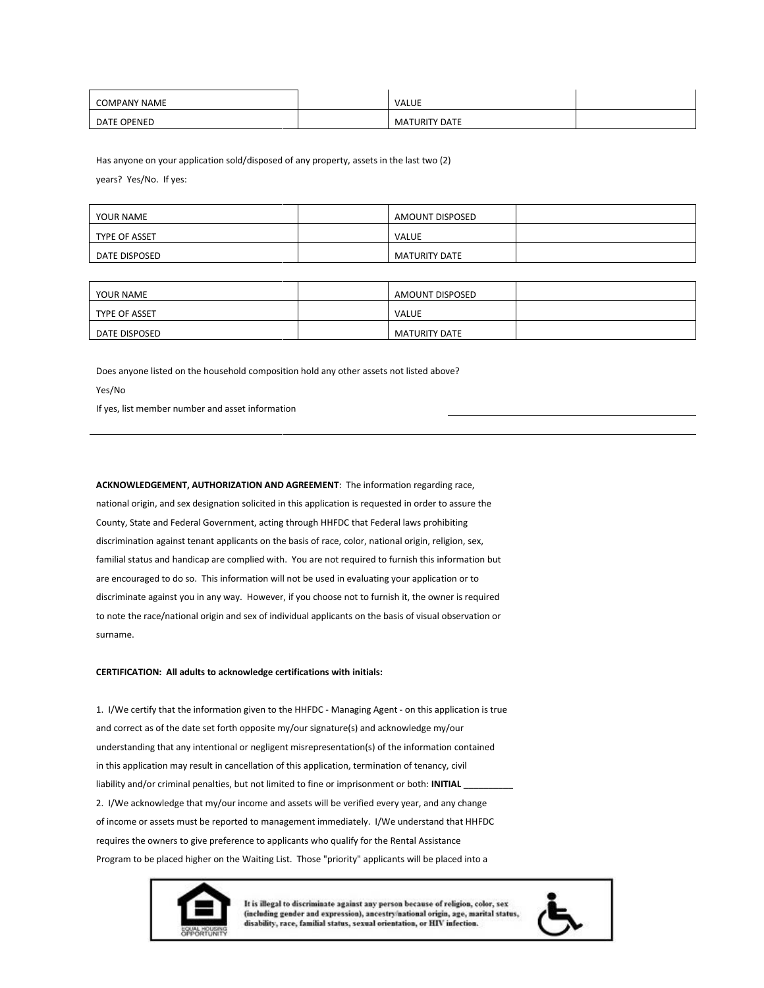| <b>COMPANY NAME</b> | VALUE                |  |
|---------------------|----------------------|--|
| <b>DATE OPENED</b>  | <b>MATURITY DATE</b> |  |

Has anyone on your application sold/disposed of any property, assets in the last two (2) years? Yes/No. If yes:

| YOUR NAME     | AMOUNT DISPOSED      |  |
|---------------|----------------------|--|
| TYPE OF ASSET | VALUE                |  |
| DATE DISPOSED | <b>MATURITY DATE</b> |  |

| YOUR NAME     | AMOUNT DISPOSED      |  |
|---------------|----------------------|--|
| TYPE OF ASSET | VALUE                |  |
| DATE DISPOSED | <b>MATURITY DATE</b> |  |

Does anyone listed on the household composition hold any other assets not listed above? Yes/No

If yes, list member number and asset information

**ACKNOWLEDGEMENT, AUTHORIZATION AND AGREEMENT**: The information regarding race, national origin, and sex designation solicited in this application is requested in order to assure the County, State and Federal Government, acting through HHFDC that Federal laws prohibiting discrimination against tenant applicants on the basis of race, color, national origin, religion, sex, familial status and handicap are complied with. You are not required to furnish this information but are encouraged to do so. This information will not be used in evaluating your application or to discriminate against you in any way. However, if you choose not to furnish it, the owner is required to note the race/national origin and sex of individual applicants on the basis of visual observation or surname.

#### **CERTIFICATION: All adults to acknowledge certifications with initials:**

1. I/We certify that the information given to the HHFDC - Managing Agent - on this application is true and correct as of the date set forth opposite my/our signature(s) and acknowledge my/our understanding that any intentional or negligent misrepresentation(s) of the information contained in this application may result in cancellation of this application, termination of tenancy, civil liability and/or criminal penalties, but not limited to fine or imprisonment or both: **INITIAL** 2. I/We acknowledge that my/our income and assets will be verified every year, and any change of income or assets must be reported to management immediately. I/We understand that HHFDC requires the owners to give preference to applicants who qualify for the Rental Assistance Program to be placed higher on the Waiting List. Those "priority" applicants will be placed into a



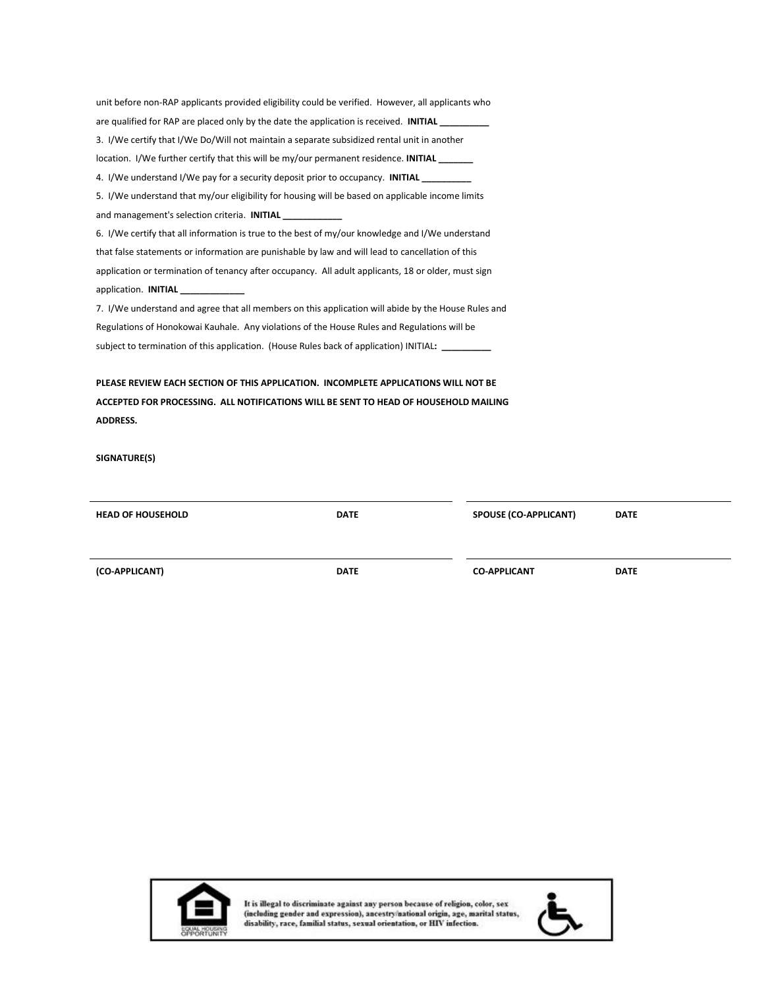| unit before non-RAP applicants provided eligibility could be verified. However, all applicants who  |
|-----------------------------------------------------------------------------------------------------|
| are qualified for RAP are placed only by the date the application is received. INITIAL              |
| 3. I/We certify that I/We Do/Will not maintain a separate subsidized rental unit in another         |
| location. I/We further certify that this will be my/our permanent residence. INITIAL                |
| 4. I/We understand I/We pay for a security deposit prior to occupancy. INITIAL                      |
| 5. I/We understand that my/our eligibility for housing will be based on applicable income limits    |
| and management's selection criteria. INITIAL ____________                                           |
| 6. I/We certify that all information is true to the best of my/our knowledge and I/We understand    |
| that false statements or information are punishable by law and will lead to cancellation of this    |
| application or termination of tenancy after occupancy. All adult applicants, 18 or older, must sign |
| application. <b>INITIAL</b>                                                                         |
| 7. I/We understand and agree that all members on this application will abide by the House Rules and |
| Regulations of Honokowai Kauhale. Any violations of the House Rules and Regulations will be         |
| subject to termination of this application. (House Rules back of application) INITIAL: ____________ |
|                                                                                                     |
| PLEASE REVIEW EACH SECTION OF THIS APPLICATION. INCOMPLETE APPLICATIONS WILL NOT BE                 |
| ACCEPTED FOR PROCESSING. ALL NOTIFICATIONS WILL BE SENT TO HEAD OF HOUSEHOLD MAILING                |

**SIGNATURE(S)**

**ADDRESS.**

| <b>HEAD OF HOUSEHOLD</b> | <b>DATE</b> | <b>SPOUSE (CO-APPLICANT)</b> | <b>DATE</b> |
|--------------------------|-------------|------------------------------|-------------|
| (CO-APPLICANT)           | <b>DATE</b> | <b>CO-APPLICANT</b>          | <b>DATE</b> |



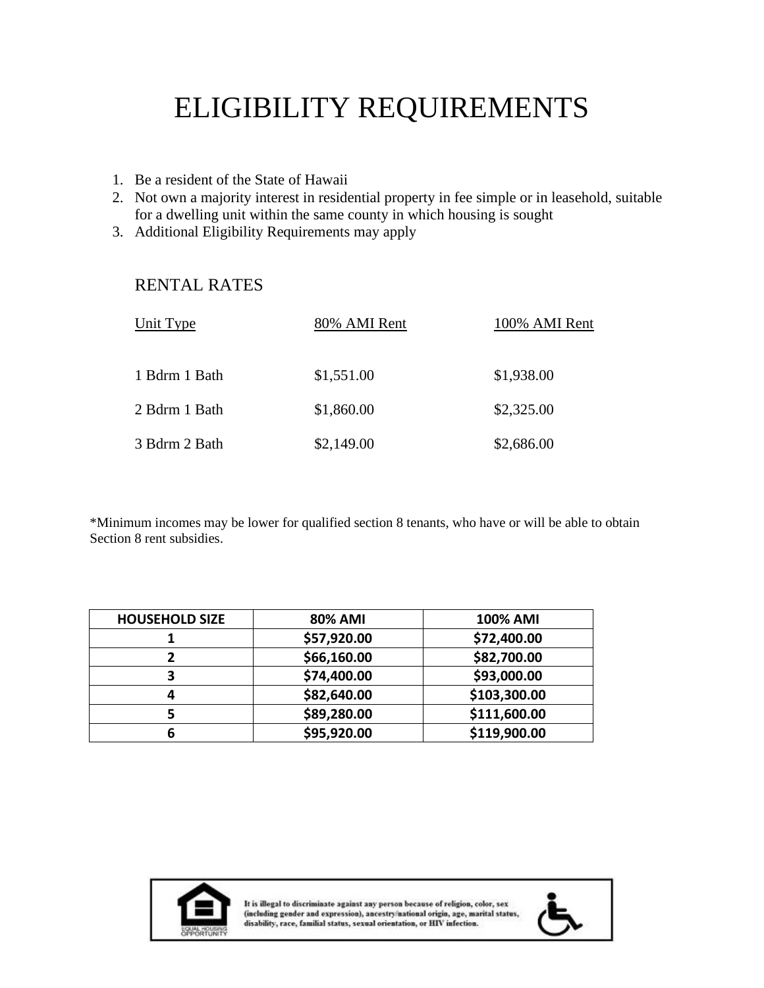# ELIGIBILITY REQUIREMENTS

- 1. Be a resident of the State of Hawaii
- 2. Not own a majority interest in residential property in fee simple or in leasehold, suitable for a dwelling unit within the same county in which housing is sought
- 3. Additional Eligibility Requirements may apply

# RENTAL RATES

| Unit Type     | 80% AMI Rent | 100% AMI Rent |
|---------------|--------------|---------------|
| 1 Bdrm 1 Bath | \$1,551.00   | \$1,938.00    |
| 2 Bdrm 1 Bath | \$1,860.00   | \$2,325.00    |
| 3 Bdrm 2 Bath | \$2,149.00   | \$2,686.00    |

\*Minimum incomes may be lower for qualified section 8 tenants, who have or will be able to obtain Section 8 rent subsidies.

| <b>HOUSEHOLD SIZE</b> | <b>80% AMI</b> | <b>100% AMI</b> |
|-----------------------|----------------|-----------------|
|                       | \$57,920.00    | \$72,400.00     |
|                       | \$66,160.00    | \$82,700.00     |
| 3                     | \$74,400.00    | \$93,000.00     |
|                       | \$82,640.00    | \$103,300.00    |
| כ                     | \$89,280.00    | \$111,600.00    |
| 6                     | \$95,920.00    | \$119,900.00    |